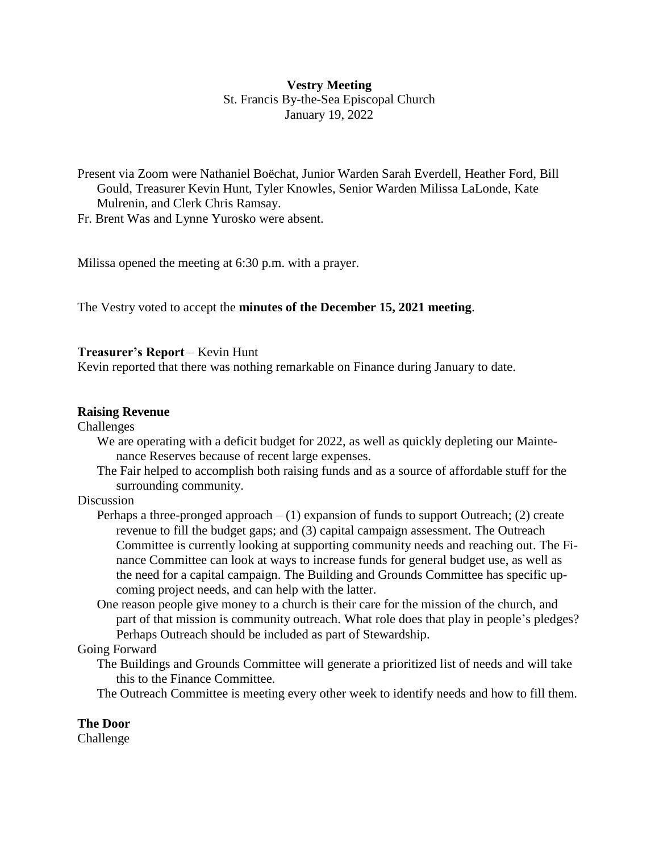# **Vestry Meeting**

St. Francis By-the-Sea Episcopal Church January 19, 2022

Present via Zoom were Nathaniel Boëchat, Junior Warden Sarah Everdell, Heather Ford, Bill Gould, Treasurer Kevin Hunt, Tyler Knowles, Senior Warden Milissa LaLonde, Kate Mulrenin, and Clerk Chris Ramsay.

Fr. Brent Was and Lynne Yurosko were absent.

Milissa opened the meeting at 6:30 p.m. with a prayer.

The Vestry voted to accept the **minutes of the December 15, 2021 meeting**.

### **Treasurer's Report** – Kevin Hunt

Kevin reported that there was nothing remarkable on Finance during January to date.

### **Raising Revenue**

#### Challenges

- We are operating with a deficit budget for 2022, as well as quickly depleting our Maintenance Reserves because of recent large expenses.
- The Fair helped to accomplish both raising funds and as a source of affordable stuff for the surrounding community.

### Discussion

- Perhaps a three-pronged approach  $(1)$  expansion of funds to support Outreach; (2) create revenue to fill the budget gaps; and (3) capital campaign assessment. The Outreach Committee is currently looking at supporting community needs and reaching out. The Finance Committee can look at ways to increase funds for general budget use, as well as the need for a capital campaign. The Building and Grounds Committee has specific upcoming project needs, and can help with the latter.
- One reason people give money to a church is their care for the mission of the church, and part of that mission is community outreach. What role does that play in people's pledges? Perhaps Outreach should be included as part of Stewardship.

### Going Forward

The Buildings and Grounds Committee will generate a prioritized list of needs and will take this to the Finance Committee.

The Outreach Committee is meeting every other week to identify needs and how to fill them.

# **The Door**

Challenge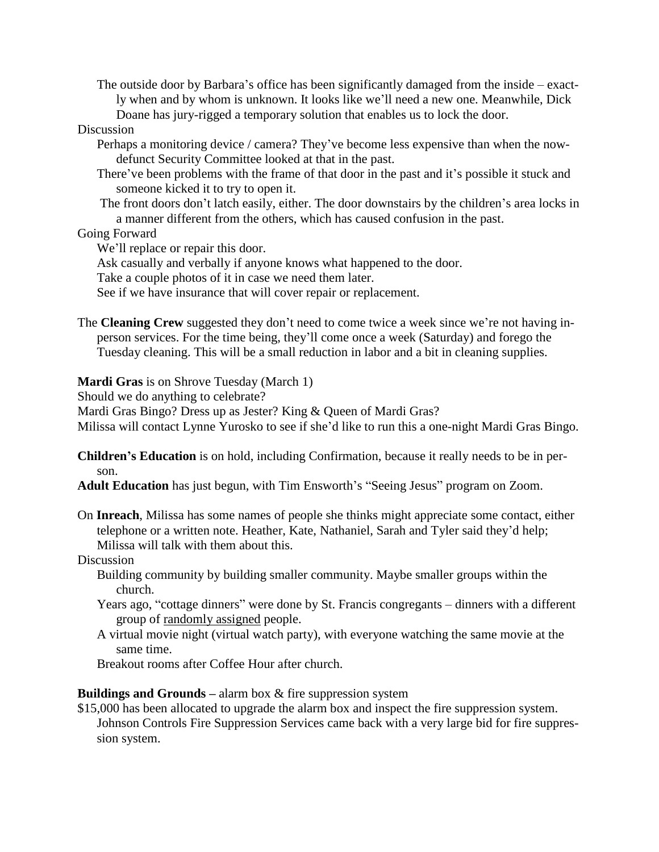The outside door by Barbara's office has been significantly damaged from the inside – exactly when and by whom is unknown. It looks like we'll need a new one. Meanwhile, Dick Doane has jury-rigged a temporary solution that enables us to lock the door.

### Discussion

- Perhaps a monitoring device / camera? They've become less expensive than when the nowdefunct Security Committee looked at that in the past.
- There've been problems with the frame of that door in the past and it's possible it stuck and someone kicked it to try to open it.
- The front doors don't latch easily, either. The door downstairs by the children's area locks in a manner different from the others, which has caused confusion in the past.

#### Going Forward

We'll replace or repair this door.

Ask casually and verbally if anyone knows what happened to the door.

Take a couple photos of it in case we need them later.

See if we have insurance that will cover repair or replacement.

The **Cleaning Crew** suggested they don't need to come twice a week since we're not having inperson services. For the time being, they'll come once a week (Saturday) and forego the Tuesday cleaning. This will be a small reduction in labor and a bit in cleaning supplies.

**Mardi Gras** is on Shrove Tuesday (March 1)

Should we do anything to celebrate?

Mardi Gras Bingo? Dress up as Jester? King & Queen of Mardi Gras?

Milissa will contact Lynne Yurosko to see if she'd like to run this a one-night Mardi Gras Bingo.

**Children's Education** is on hold, including Confirmation, because it really needs to be in person.

**Adult Education** has just begun, with Tim Ensworth's "Seeing Jesus" program on Zoom.

On **Inreach**, Milissa has some names of people she thinks might appreciate some contact, either telephone or a written note. Heather, Kate, Nathaniel, Sarah and Tyler said they'd help; Milissa will talk with them about this.

### **Discussion**

- Building community by building smaller community. Maybe smaller groups within the church.
- Years ago, "cottage dinners" were done by St. Francis congregants dinners with a different group of randomly assigned people.
- A virtual movie night (virtual watch party), with everyone watching the same movie at the same time.

Breakout rooms after Coffee Hour after church.

**Buildings and Grounds –** alarm box & fire suppression system

\$15,000 has been allocated to upgrade the alarm box and inspect the fire suppression system. Johnson Controls Fire Suppression Services came back with a very large bid for fire suppression system.